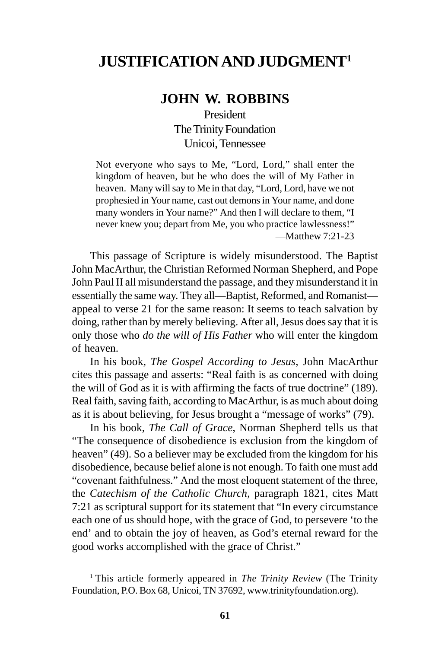## **JUSTIFICATION AND JUDGMENT1**

## **JOHN W. ROBBINS**

President The Trinity Foundation Unicoi, Tennessee

Not everyone who says to Me, "Lord, Lord," shall enter the kingdom of heaven, but he who does the will of My Father in heaven. Many will say to Me in that day, "Lord, Lord, have we not prophesied in Your name, cast out demons in Your name, and done many wonders in Your name?" And then I will declare to them, "I never knew you; depart from Me, you who practice lawlessness!" —Matthew 7:21-23

This passage of Scripture is widely misunderstood. The Baptist John MacArthur, the Christian Reformed Norman Shepherd, and Pope John Paul II all misunderstand the passage, and they misunderstand it in essentially the same way. They all—Baptist, Reformed, and Romanist appeal to verse 21 for the same reason: It seems to teach salvation by doing, rather than by merely believing. After all, Jesus does say that it is only those who *do the will of His Father* who will enter the kingdom of heaven.

In his book, *The Gospel According to Jesus*, John MacArthur cites this passage and asserts: "Real faith is as concerned with doing the will of God as it is with affirming the facts of true doctrine" (189). Real faith, saving faith, according to MacArthur, is as much about doing as it is about believing, for Jesus brought a "message of works" (79).

In his book*, The Call of Grace*, Norman Shepherd tells us that "The consequence of disobedience is exclusion from the kingdom of heaven" (49). So a believer may be excluded from the kingdom for his disobedience, because belief alone is not enough. To faith one must add "covenant faithfulness." And the most eloquent statement of the three, the *Catechism of the Catholic Church*, paragraph 1821, cites Matt 7:21 as scriptural support for its statement that "In every circumstance each one of us should hope, with the grace of God, to persevere 'to the end' and to obtain the joy of heaven, as God's eternal reward for the good works accomplished with the grace of Christ."

1 This article formerly appeared in *The Trinity Review* (The Trinity Foundation, P.O. Box 68, Unicoi, TN 37692, www.trinityfoundation.org).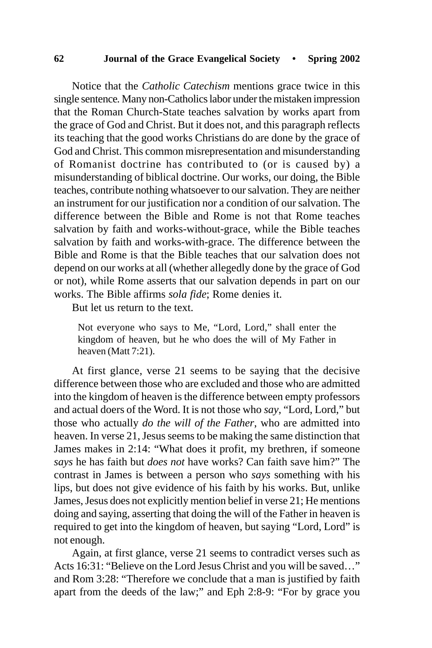## **62 Journal of the Grace Evangelical Society • Spring 2002**

Notice that the *Catholic Catechism* mentions grace twice in this single sentence*.* Many non-Catholics labor under the mistaken impression that the Roman Church-State teaches salvation by works apart from the grace of God and Christ. But it does not, and this paragraph reflects its teaching that the good works Christians do are done by the grace of God and Christ. This common misrepresentation and misunderstanding of Romanist doctrine has contributed to (or is caused by) a misunderstanding of biblical doctrine. Our works, our doing, the Bible teaches, contribute nothing whatsoever to our salvation. They are neither an instrument for our justification nor a condition of our salvation. The difference between the Bible and Rome is not that Rome teaches salvation by faith and works-without-grace, while the Bible teaches salvation by faith and works-with-grace. The difference between the Bible and Rome is that the Bible teaches that our salvation does not depend on our works at all (whether allegedly done by the grace of God or not), while Rome asserts that our salvation depends in part on our works. The Bible affirms *sola fide*; Rome denies it.

But let us return to the text.

Not everyone who says to Me, "Lord, Lord," shall enter the kingdom of heaven, but he who does the will of My Father in heaven (Matt 7:21).

At first glance, verse 21 seems to be saying that the decisive difference between those who are excluded and those who are admitted into the kingdom of heaven is the difference between empty professors and actual doers of the Word. It is not those who *say*, "Lord, Lord," but those who actually *do the will of the Father*, who are admitted into heaven. In verse 21, Jesus seems to be making the same distinction that James makes in 2:14: "What does it profit, my brethren, if someone *says* he has faith but *does not* have works? Can faith save him?" The contrast in James is between a person who *says* something with his lips, but does not give evidence of his faith by his works. But, unlike James, Jesus does not explicitly mention belief in verse 21; He mentions doing and saying, asserting that doing the will of the Father in heaven is required to get into the kingdom of heaven, but saying "Lord, Lord" is not enough.

Again, at first glance, verse 21 seems to contradict verses such as Acts 16:31: "Believe on the Lord Jesus Christ and you will be saved…" and Rom 3:28: "Therefore we conclude that a man is justified by faith apart from the deeds of the law;" and Eph 2:8-9: "For by grace you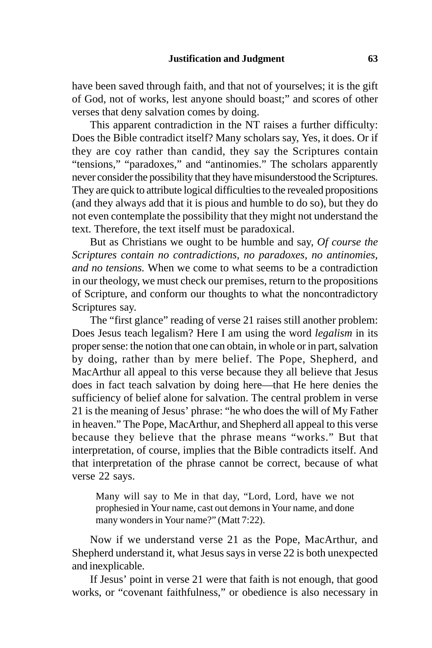have been saved through faith, and that not of yourselves; it is the gift of God, not of works, lest anyone should boast;" and scores of other verses that deny salvation comes by doing.

This apparent contradiction in the NT raises a further difficulty: Does the Bible contradict itself? Many scholars say, Yes, it does. Or if they are coy rather than candid, they say the Scriptures contain "tensions," "paradoxes," and "antinomies." The scholars apparently never consider the possibility that they have misunderstood the Scriptures. They are quick to attribute logical difficulties to the revealed propositions (and they always add that it is pious and humble to do so), but they do not even contemplate the possibility that they might not understand the text. Therefore, the text itself must be paradoxical.

But as Christians we ought to be humble and say, *Of course the Scriptures contain no contradictions, no paradoxes, no antinomies, and no tensions.* When we come to what seems to be a contradiction in our theology, we must check our premises, return to the propositions of Scripture, and conform our thoughts to what the noncontradictory Scriptures say.

The "first glance" reading of verse 21 raises still another problem: Does Jesus teach legalism? Here I am using the word *legalism* in its proper sense: the notion that one can obtain, in whole or in part, salvation by doing, rather than by mere belief. The Pope, Shepherd, and MacArthur all appeal to this verse because they all believe that Jesus does in fact teach salvation by doing here—that He here denies the sufficiency of belief alone for salvation. The central problem in verse 21 is the meaning of Jesus' phrase: "he who does the will of My Father in heaven." The Pope, MacArthur, and Shepherd all appeal to this verse because they believe that the phrase means "works." But that interpretation, of course, implies that the Bible contradicts itself. And that interpretation of the phrase cannot be correct, because of what verse 22 says.

Many will say to Me in that day, "Lord, Lord, have we not prophesied in Your name, cast out demons in Your name, and done many wonders in Your name?" (Matt 7:22).

Now if we understand verse 21 as the Pope, MacArthur, and Shepherd understand it, what Jesus says in verse 22 is both unexpected and inexplicable.

If Jesus' point in verse 21 were that faith is not enough, that good works, or "covenant faithfulness," or obedience is also necessary in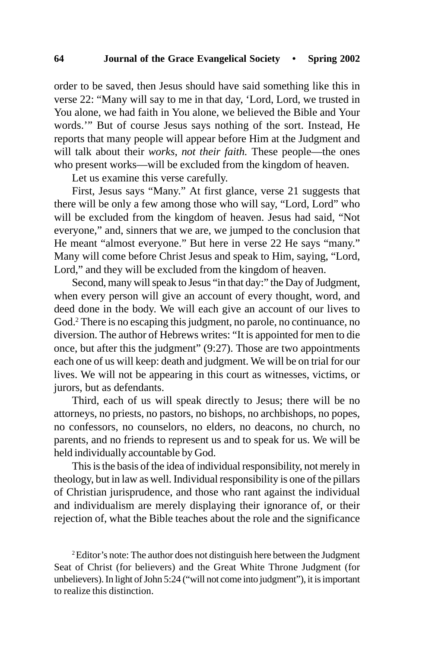order to be saved, then Jesus should have said something like this in verse 22: "Many will say to me in that day, 'Lord, Lord, we trusted in You alone, we had faith in You alone, we believed the Bible and Your words.'" But of course Jesus says nothing of the sort. Instead, He reports that many people will appear before Him at the Judgment and will talk about their *works*, *not their faith.* These people—the ones who present works—will be excluded from the kingdom of heaven.

Let us examine this verse carefully.

First, Jesus says "Many." At first glance, verse 21 suggests that there will be only a few among those who will say, "Lord, Lord" who will be excluded from the kingdom of heaven. Jesus had said, "Not everyone," and, sinners that we are, we jumped to the conclusion that He meant "almost everyone." But here in verse 22 He says "many." Many will come before Christ Jesus and speak to Him, saying, "Lord, Lord," and they will be excluded from the kingdom of heaven.

Second, many will speak to Jesus "in that day:" the Day of Judgment, when every person will give an account of every thought, word, and deed done in the body. We will each give an account of our lives to God.2 There is no escaping this judgment, no parole, no continuance, no diversion. The author of Hebrews writes: "It is appointed for men to die once, but after this the judgment" (9:27). Those are two appointments each one of us will keep: death and judgment. We will be on trial for our lives. We will not be appearing in this court as witnesses, victims, or jurors, but as defendants.

Third, each of us will speak directly to Jesus; there will be no attorneys, no priests, no pastors, no bishops, no archbishops, no popes, no confessors, no counselors, no elders, no deacons, no church, no parents, and no friends to represent us and to speak for us. We will be held individually accountable by God.

This is the basis of the idea of individual responsibility, not merely in theology, but in law as well. Individual responsibility is one of the pillars of Christian jurisprudence, and those who rant against the individual and individualism are merely displaying their ignorance of, or their rejection of, what the Bible teaches about the role and the significance

 ${}^{2}$ Editor's note: The author does not distinguish here between the Judgment Seat of Christ (for believers) and the Great White Throne Judgment (for unbelievers). In light of John 5:24 ("will not come into judgment"), it is important to realize this distinction.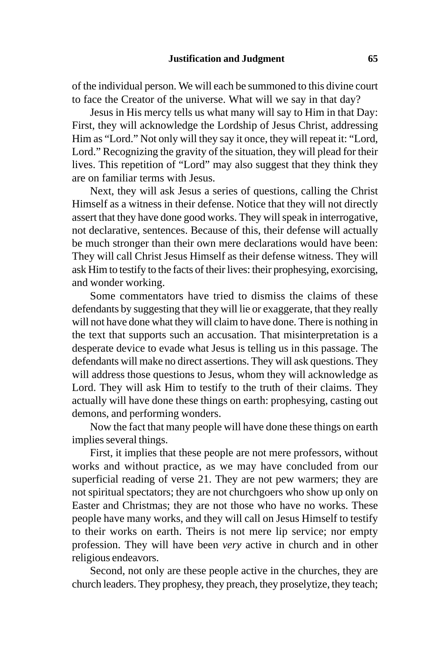of the individual person. We will each be summoned to this divine court to face the Creator of the universe. What will we say in that day?

Jesus in His mercy tells us what many will say to Him in that Day: First, they will acknowledge the Lordship of Jesus Christ, addressing Him as "Lord." Not only will they say it once, they will repeat it: "Lord, Lord." Recognizing the gravity of the situation, they will plead for their lives. This repetition of "Lord" may also suggest that they think they are on familiar terms with Jesus.

Next, they will ask Jesus a series of questions, calling the Christ Himself as a witness in their defense. Notice that they will not directly assert that they have done good works. They will speak in interrogative, not declarative, sentences. Because of this, their defense will actually be much stronger than their own mere declarations would have been: They will call Christ Jesus Himself as their defense witness. They will ask Him to testify to the facts of their lives: their prophesying, exorcising, and wonder working.

Some commentators have tried to dismiss the claims of these defendants by suggesting that they will lie or exaggerate, that they really will not have done what they will claim to have done. There is nothing in the text that supports such an accusation. That misinterpretation is a desperate device to evade what Jesus is telling us in this passage. The defendants will make no direct assertions. They will ask questions. They will address those questions to Jesus, whom they will acknowledge as Lord. They will ask Him to testify to the truth of their claims. They actually will have done these things on earth: prophesying, casting out demons, and performing wonders.

Now the fact that many people will have done these things on earth implies several things.

First, it implies that these people are not mere professors, without works and without practice, as we may have concluded from our superficial reading of verse 21. They are not pew warmers; they are not spiritual spectators; they are not churchgoers who show up only on Easter and Christmas; they are not those who have no works. These people have many works, and they will call on Jesus Himself to testify to their works on earth. Theirs is not mere lip service; nor empty profession. They will have been *very* active in church and in other religious endeavors.

Second, not only are these people active in the churches, they are church leaders. They prophesy, they preach, they proselytize, they teach;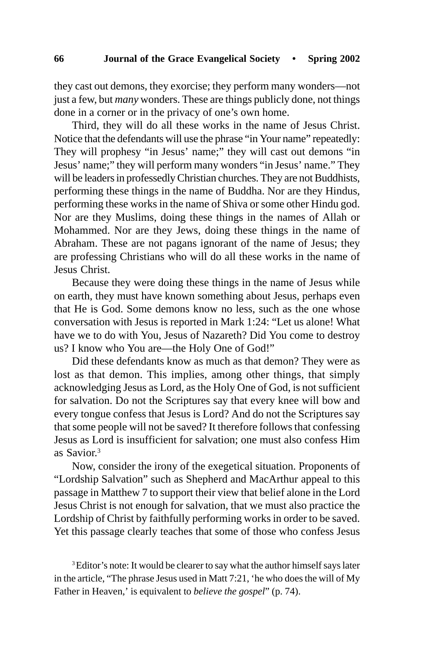they cast out demons, they exorcise; they perform many wonders—not just a few, but *many* wonders. These are things publicly done, not things done in a corner or in the privacy of one's own home.

Third, they will do all these works in the name of Jesus Christ. Notice that the defendants will use the phrase "in Your name" repeatedly: They will prophesy "in Jesus' name;" they will cast out demons "in Jesus' name;" they will perform many wonders "in Jesus' name." They will be leaders in professedly Christian churches. They are not Buddhists, performing these things in the name of Buddha. Nor are they Hindus, performing these works in the name of Shiva or some other Hindu god. Nor are they Muslims, doing these things in the names of Allah or Mohammed. Nor are they Jews, doing these things in the name of Abraham. These are not pagans ignorant of the name of Jesus; they are professing Christians who will do all these works in the name of Jesus Christ.

Because they were doing these things in the name of Jesus while on earth, they must have known something about Jesus, perhaps even that He is God. Some demons know no less, such as the one whose conversation with Jesus is reported in Mark 1:24: "Let us alone! What have we to do with You, Jesus of Nazareth? Did You come to destroy us? I know who You are—the Holy One of God!"

Did these defendants know as much as that demon? They were as lost as that demon. This implies, among other things, that simply acknowledging Jesus as Lord, as the Holy One of God, is not sufficient for salvation. Do not the Scriptures say that every knee will bow and every tongue confess that Jesus is Lord? And do not the Scriptures say that some people will not be saved? It therefore follows that confessing Jesus as Lord is insufficient for salvation; one must also confess Him as Savior.3

Now, consider the irony of the exegetical situation. Proponents of "Lordship Salvation" such as Shepherd and MacArthur appeal to this passage in Matthew 7 to support their view that belief alone in the Lord Jesus Christ is not enough for salvation, that we must also practice the Lordship of Christ by faithfully performing works in order to be saved. Yet this passage clearly teaches that some of those who confess Jesus

<sup>3</sup> Editor's note: It would be clearer to say what the author himself says later in the article, "The phrase Jesus used in Matt 7:21, 'he who does the will of My Father in Heaven,' is equivalent to *believe the gospel*" (p. 74).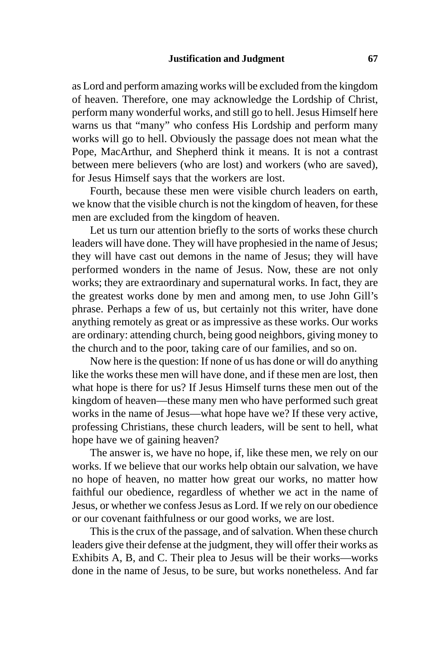as Lord and perform amazing works will be excluded from the kingdom of heaven. Therefore, one may acknowledge the Lordship of Christ, perform many wonderful works, and still go to hell. Jesus Himself here warns us that "many" who confess His Lordship and perform many works will go to hell. Obviously the passage does not mean what the Pope, MacArthur, and Shepherd think it means. It is not a contrast between mere believers (who are lost) and workers (who are saved), for Jesus Himself says that the workers are lost.

Fourth, because these men were visible church leaders on earth, we know that the visible church is not the kingdom of heaven, for these men are excluded from the kingdom of heaven.

Let us turn our attention briefly to the sorts of works these church leaders will have done. They will have prophesied in the name of Jesus; they will have cast out demons in the name of Jesus; they will have performed wonders in the name of Jesus. Now, these are not only works; they are extraordinary and supernatural works. In fact, they are the greatest works done by men and among men, to use John Gill's phrase. Perhaps a few of us, but certainly not this writer, have done anything remotely as great or as impressive as these works. Our works are ordinary: attending church, being good neighbors, giving money to the church and to the poor, taking care of our families, and so on.

Now here is the question: If none of us has done or will do anything like the works these men will have done, and if these men are lost, then what hope is there for us? If Jesus Himself turns these men out of the kingdom of heaven—these many men who have performed such great works in the name of Jesus—what hope have we? If these very active, professing Christians, these church leaders, will be sent to hell, what hope have we of gaining heaven?

The answer is, we have no hope, if, like these men, we rely on our works. If we believe that our works help obtain our salvation, we have no hope of heaven, no matter how great our works, no matter how faithful our obedience, regardless of whether we act in the name of Jesus, or whether we confess Jesus as Lord. If we rely on our obedience or our covenant faithfulness or our good works, we are lost.

This is the crux of the passage, and of salvation. When these church leaders give their defense at the judgment, they will offer their works as Exhibits A, B, and C. Their plea to Jesus will be their works—works done in the name of Jesus, to be sure, but works nonetheless. And far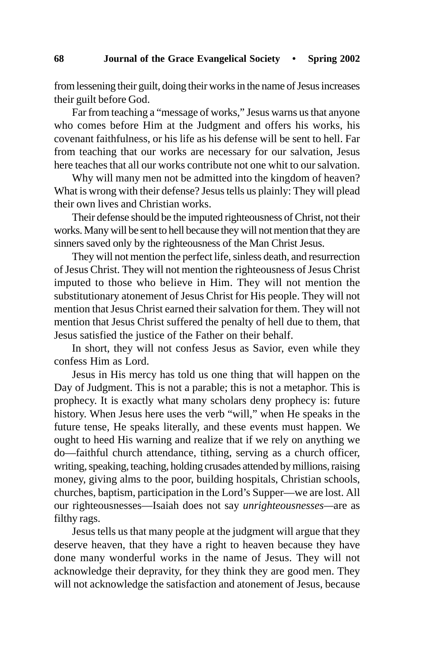from lessening their guilt, doing their works in the name of Jesus increases their guilt before God.

Far from teaching a "message of works," Jesus warns us that anyone who comes before Him at the Judgment and offers his works, his covenant faithfulness, or his life as his defense will be sent to hell. Far from teaching that our works are necessary for our salvation, Jesus here teaches that all our works contribute not one whit to our salvation.

Why will many men not be admitted into the kingdom of heaven? What is wrong with their defense? Jesus tells us plainly: They will plead their own lives and Christian works.

Their defense should be the imputed righteousness of Christ, not their works. Many will be sent to hell because they will not mention that they are sinners saved only by the righteousness of the Man Christ Jesus.

They will not mention the perfect life, sinless death, and resurrection of Jesus Christ. They will not mention the righteousness of Jesus Christ imputed to those who believe in Him. They will not mention the substitutionary atonement of Jesus Christ for His people. They will not mention that Jesus Christ earned their salvation for them. They will not mention that Jesus Christ suffered the penalty of hell due to them, that Jesus satisfied the justice of the Father on their behalf.

In short, they will not confess Jesus as Savior, even while they confess Him as Lord.

Jesus in His mercy has told us one thing that will happen on the Day of Judgment. This is not a parable; this is not a metaphor. This is prophecy. It is exactly what many scholars deny prophecy is: future history. When Jesus here uses the verb "will," when He speaks in the future tense, He speaks literally, and these events must happen. We ought to heed His warning and realize that if we rely on anything we do—faithful church attendance, tithing, serving as a church officer, writing, speaking, teaching, holding crusades attended by millions, raising money, giving alms to the poor, building hospitals, Christian schools, churches, baptism, participation in the Lord's Supper—we are lost. All our righteousnesses—Isaiah does not say *unrighteousnesses—*are as filthy rags.

Jesus tells us that many people at the judgment will argue that they deserve heaven, that they have a right to heaven because they have done many wonderful works in the name of Jesus. They will not acknowledge their depravity, for they think they are good men. They will not acknowledge the satisfaction and atonement of Jesus, because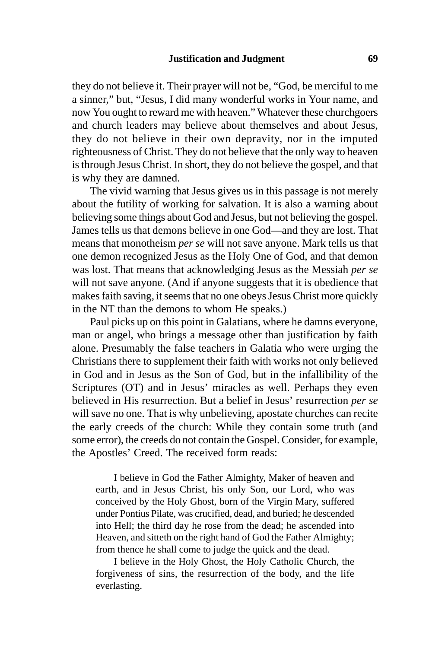they do not believe it. Their prayer will not be, "God, be merciful to me a sinner," but, "Jesus, I did many wonderful works in Your name, and now You ought to reward me with heaven." Whatever these churchgoers and church leaders may believe about themselves and about Jesus, they do not believe in their own depravity, nor in the imputed righteousness of Christ. They do not believe that the only way to heaven is through Jesus Christ. In short, they do not believe the gospel, and that is why they are damned.

The vivid warning that Jesus gives us in this passage is not merely about the futility of working for salvation. It is also a warning about believing some things about God and Jesus, but not believing the gospel. James tells us that demons believe in one God—and they are lost. That means that monotheism *per se* will not save anyone. Mark tells us that one demon recognized Jesus as the Holy One of God, and that demon was lost. That means that acknowledging Jesus as the Messiah *per se* will not save anyone. (And if anyone suggests that it is obedience that makes faith saving, it seems that no one obeys Jesus Christ more quickly in the NT than the demons to whom He speaks.)

Paul picks up on this point in Galatians, where he damns everyone, man or angel, who brings a message other than justification by faith alone. Presumably the false teachers in Galatia who were urging the Christians there to supplement their faith with works not only believed in God and in Jesus as the Son of God, but in the infallibility of the Scriptures (OT) and in Jesus' miracles as well. Perhaps they even believed in His resurrection. But a belief in Jesus' resurrection *per se* will save no one. That is why unbelieving, apostate churches can recite the early creeds of the church: While they contain some truth (and some error), the creeds do not contain the Gospel. Consider, for example, the Apostles' Creed. The received form reads:

I believe in God the Father Almighty, Maker of heaven and earth, and in Jesus Christ, his only Son, our Lord, who was conceived by the Holy Ghost, born of the Virgin Mary, suffered under Pontius Pilate, was crucified, dead, and buried; he descended into Hell; the third day he rose from the dead; he ascended into Heaven, and sitteth on the right hand of God the Father Almighty; from thence he shall come to judge the quick and the dead.

I believe in the Holy Ghost, the Holy Catholic Church, the forgiveness of sins, the resurrection of the body, and the life everlasting.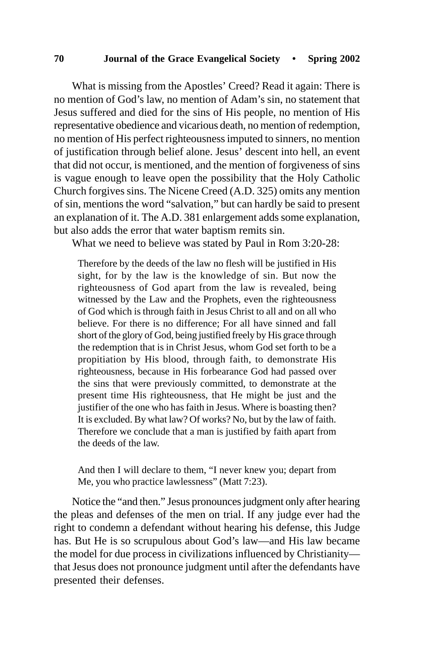What is missing from the Apostles' Creed? Read it again: There is no mention of God's law, no mention of Adam's sin, no statement that Jesus suffered and died for the sins of His people, no mention of His representative obedience and vicarious death, no mention of redemption, no mention of His perfect righteousness imputed to sinners, no mention of justification through belief alone. Jesus' descent into hell, an event that did not occur, is mentioned, and the mention of forgiveness of sins is vague enough to leave open the possibility that the Holy Catholic Church forgives sins. The Nicene Creed (A.D. 325) omits any mention of sin, mentions the word "salvation," but can hardly be said to present an explanation of it. The A.D. 381 enlargement adds some explanation, but also adds the error that water baptism remits sin.

What we need to believe was stated by Paul in Rom 3:20-28:

Therefore by the deeds of the law no flesh will be justified in His sight, for by the law is the knowledge of sin. But now the righteousness of God apart from the law is revealed, being witnessed by the Law and the Prophets, even the righteousness of God which is through faith in Jesus Christ to all and on all who believe. For there is no difference; For all have sinned and fall short of the glory of God, being justified freely by His grace through the redemption that is in Christ Jesus, whom God set forth to be a propitiation by His blood, through faith, to demonstrate His righteousness, because in His forbearance God had passed over the sins that were previously committed, to demonstrate at the present time His righteousness, that He might be just and the justifier of the one who has faith in Jesus. Where is boasting then? It is excluded. By what law? Of works? No, but by the law of faith. Therefore we conclude that a man is justified by faith apart from the deeds of the law.

And then I will declare to them, "I never knew you; depart from Me, you who practice lawlessness" (Matt 7:23).

Notice the "and then." Jesus pronounces judgment only after hearing the pleas and defenses of the men on trial. If any judge ever had the right to condemn a defendant without hearing his defense, this Judge has. But He is so scrupulous about God's law—and His law became the model for due process in civilizations influenced by Christianity that Jesus does not pronounce judgment until after the defendants have presented their defenses.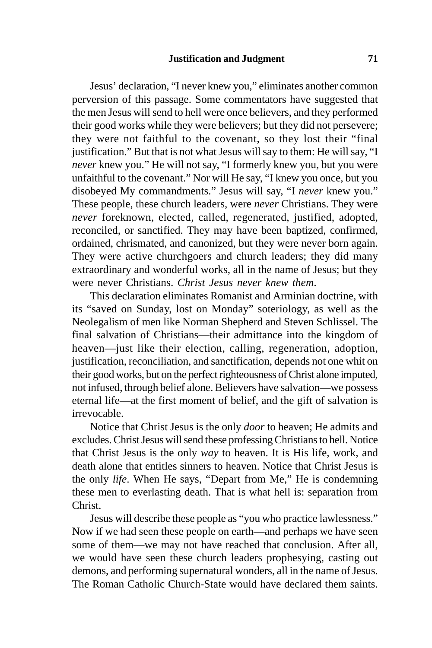Jesus' declaration, "I never knew you," eliminates another common perversion of this passage. Some commentators have suggested that the men Jesus will send to hell were once believers, and they performed their good works while they were believers; but they did not persevere; they were not faithful to the covenant, so they lost their "final justification." But that is not what Jesus will say to them: He will say, "I *never* knew you." He will not say, "I formerly knew you, but you were unfaithful to the covenant." Nor will He say, "I knew you once, but you disobeyed My commandments." Jesus will say, "I *never* knew you." These people, these church leaders, were *never* Christians. They were *never* foreknown, elected, called, regenerated, justified, adopted, reconciled, or sanctified. They may have been baptized, confirmed, ordained, chrismated, and canonized, but they were never born again. They were active churchgoers and church leaders; they did many extraordinary and wonderful works, all in the name of Jesus; but they were never Christians. *Christ Jesus never knew them*.

This declaration eliminates Romanist and Arminian doctrine, with its "saved on Sunday, lost on Monday" soteriology, as well as the Neolegalism of men like Norman Shepherd and Steven Schlissel. The final salvation of Christians—their admittance into the kingdom of heaven—just like their election, calling, regeneration, adoption, justification, reconciliation, and sanctification, depends not one whit on their good works, but on the perfect righteousness of Christ alone imputed, not infused, through belief alone. Believers have salvation—we possess eternal life—at the first moment of belief, and the gift of salvation is irrevocable.

Notice that Christ Jesus is the only *door* to heaven; He admits and excludes. Christ Jesus will send these professing Christians to hell. Notice that Christ Jesus is the only *way* to heaven. It is His life, work, and death alone that entitles sinners to heaven. Notice that Christ Jesus is the only *life*. When He says, "Depart from Me," He is condemning these men to everlasting death. That is what hell is: separation from Christ.

Jesus will describe these people as "you who practice lawlessness." Now if we had seen these people on earth—and perhaps we have seen some of them—we may not have reached that conclusion. After all, we would have seen these church leaders prophesying, casting out demons, and performing supernatural wonders, all in the name of Jesus. The Roman Catholic Church-State would have declared them saints.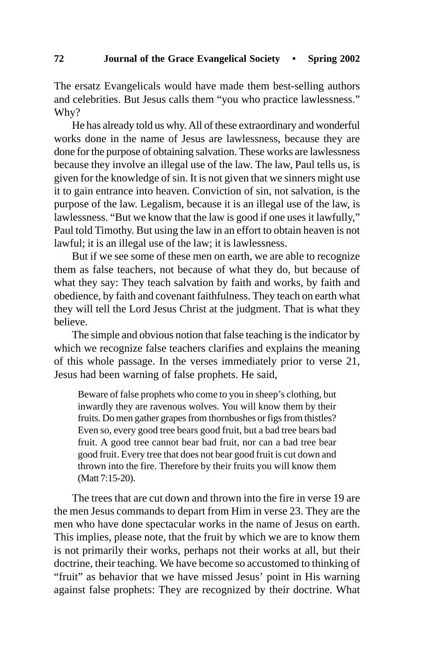The ersatz Evangelicals would have made them best-selling authors and celebrities. But Jesus calls them "you who practice lawlessness." Why?

He has already told us why. All of these extraordinary and wonderful works done in the name of Jesus are lawlessness, because they are done for the purpose of obtaining salvation. These works are lawlessness because they involve an illegal use of the law. The law, Paul tells us, is given for the knowledge of sin. It is not given that we sinners might use it to gain entrance into heaven. Conviction of sin, not salvation, is the purpose of the law. Legalism, because it is an illegal use of the law, is lawlessness. "But we know that the law is good if one uses it lawfully," Paul told Timothy. But using the law in an effort to obtain heaven is not lawful; it is an illegal use of the law; it is lawlessness.

But if we see some of these men on earth, we are able to recognize them as false teachers, not because of what they do, but because of what they say: They teach salvation by faith and works, by faith and obedience, by faith and covenant faithfulness. They teach on earth what they will tell the Lord Jesus Christ at the judgment. That is what they believe.

The simple and obvious notion that false teaching is the indicator by which we recognize false teachers clarifies and explains the meaning of this whole passage. In the verses immediately prior to verse 21, Jesus had been warning of false prophets. He said,

Beware of false prophets who come to you in sheep's clothing, but inwardly they are ravenous wolves. You will know them by their fruits. Do men gather grapes from thornbushes or figs from thistles? Even so, every good tree bears good fruit, but a bad tree bears bad fruit. A good tree cannot bear bad fruit, nor can a bad tree bear good fruit. Every tree that does not bear good fruit is cut down and thrown into the fire. Therefore by their fruits you will know them (Matt 7:15-20).

The trees that are cut down and thrown into the fire in verse 19 are the men Jesus commands to depart from Him in verse 23. They are the men who have done spectacular works in the name of Jesus on earth. This implies, please note, that the fruit by which we are to know them is not primarily their works, perhaps not their works at all, but their doctrine, their teaching. We have become so accustomed to thinking of "fruit" as behavior that we have missed Jesus' point in His warning against false prophets: They are recognized by their doctrine. What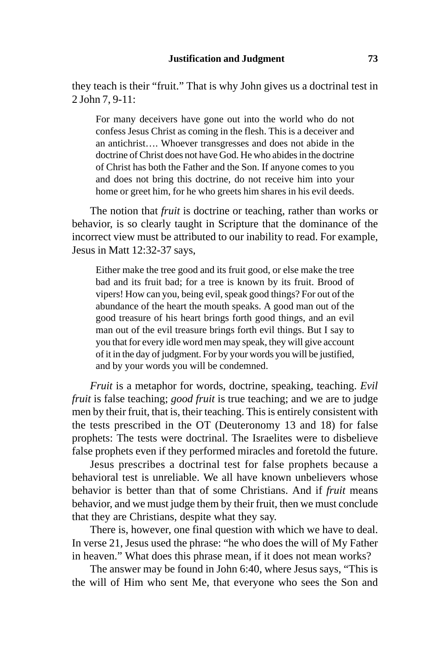they teach is their "fruit." That is why John gives us a doctrinal test in 2 John 7, 9-11:

For many deceivers have gone out into the world who do not confess Jesus Christ as coming in the flesh. This is a deceiver and an antichrist…. Whoever transgresses and does not abide in the doctrine of Christ does not have God. He who abides in the doctrine of Christ has both the Father and the Son. If anyone comes to you and does not bring this doctrine, do not receive him into your home or greet him, for he who greets him shares in his evil deeds.

The notion that *fruit* is doctrine or teaching, rather than works or behavior, is so clearly taught in Scripture that the dominance of the incorrect view must be attributed to our inability to read. For example, Jesus in Matt 12:32-37 says,

Either make the tree good and its fruit good, or else make the tree bad and its fruit bad; for a tree is known by its fruit. Brood of vipers! How can you, being evil, speak good things? For out of the abundance of the heart the mouth speaks. A good man out of the good treasure of his heart brings forth good things, and an evil man out of the evil treasure brings forth evil things. But I say to you that for every idle word men may speak, they will give account of it in the day of judgment. For by your words you will be justified, and by your words you will be condemned.

*Fruit* is a metaphor for words, doctrine, speaking, teaching. *Evil fruit* is false teaching; *good fruit* is true teaching; and we are to judge men by their fruit, that is, their teaching. This is entirely consistent with the tests prescribed in the OT (Deuteronomy 13 and 18) for false prophets: The tests were doctrinal. The Israelites were to disbelieve false prophets even if they performed miracles and foretold the future.

Jesus prescribes a doctrinal test for false prophets because a behavioral test is unreliable. We all have known unbelievers whose behavior is better than that of some Christians. And if *fruit* means behavior, and we must judge them by their fruit, then we must conclude that they are Christians, despite what they say.

There is, however, one final question with which we have to deal. In verse 21, Jesus used the phrase: "he who does the will of My Father in heaven." What does this phrase mean, if it does not mean works?

The answer may be found in John 6:40, where Jesus says, "This is the will of Him who sent Me, that everyone who sees the Son and